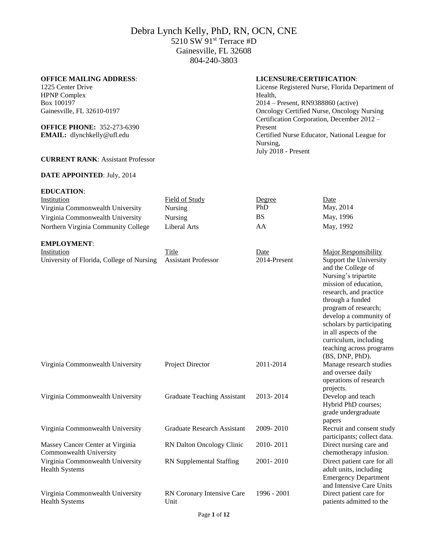## **OFFICE MAILING ADDRESS**:

1225 Center Drive HPNP Complex Box 100197 Gainesville, FL 32610-0197

### **OFFICE PHONE:** 352-273-6390 **EMAIL:** [dlynchkelly@ufl.edu](mailto:dlynchkelly@ufl.edu)

### **CURRENT RANK**: Assistant Professor

### **DATE APPOINTED**: July, 2014

| <b>EDUCATION:</b>                   |                |        |           |
|-------------------------------------|----------------|--------|-----------|
| Institution                         | Field of Study | Degree | Date      |
| Virginia Commonwealth University    | Nursing        | PhD    | May, 2014 |
| Virginia Commonwealth University    | Nursing        | BS     | May, 1996 |
| Northern Virginia Community College | Liberal Arts   | AA     | May, 1992 |

### **EMPLOYMENT**:

| Institution                               | Title               | Date         | Major Responsibility                         |
|-------------------------------------------|---------------------|--------------|----------------------------------------------|
| University of Florida, College of Nursing | Assistant Professor | 2014-Present | Support the University<br>and the College of |
|                                           |                     |              | Nursing's tripartite                         |

|                                                             |                                    |             | in all aspects of the<br>curriculum, including<br>teaching across programs<br>$(BS, DNP, PhD)$ .                 |
|-------------------------------------------------------------|------------------------------------|-------------|------------------------------------------------------------------------------------------------------------------|
| Virginia Commonwealth University                            | Project Director                   | 2011-2014   | Manage research studies<br>and oversee daily<br>operations of research<br>projects.                              |
| Virginia Commonwealth University                            | Graduate Teaching Assistant        | 2013-2014   | Develop and teach<br>Hybrid PhD courses;<br>grade undergraduate<br>papers                                        |
| Virginia Commonwealth University                            | Graduate Research Assistant        | 2009-2010   | Recruit and consent study<br>participants; collect data.                                                         |
| Massey Cancer Center at Virginia<br>Commonwealth University | RN Dalton Oncology Clinic          | 2010-2011   | Direct nursing care and<br>chemotherapy infusion.                                                                |
| Virginia Commonwealth University<br><b>Health Systems</b>   | RN Supplemental Staffing           | 2001-2010   | Direct patient care for all<br>adult units, including<br><b>Emergency Department</b><br>and Intensive Care Units |
| Virginia Commonwealth University<br><b>Health Systems</b>   | RN Coronary Intensive Care<br>Unit | 1996 - 2001 | Direct patient care for<br>patients admitted to the                                                              |

## **LICENSURE/CERTIFICATION**:

License Registered Nurse, Florida Department of Health, 2014 – Present, RN9388860 (active) Oncology Certified Nurse, Oncology Nursing Certification Corporation, December 2012 – Present Certified Nurse Educator, National League for Nursing, July 2018 - Present

> mission of education, research, and practice through a funded program of research; develop a community of scholars by participating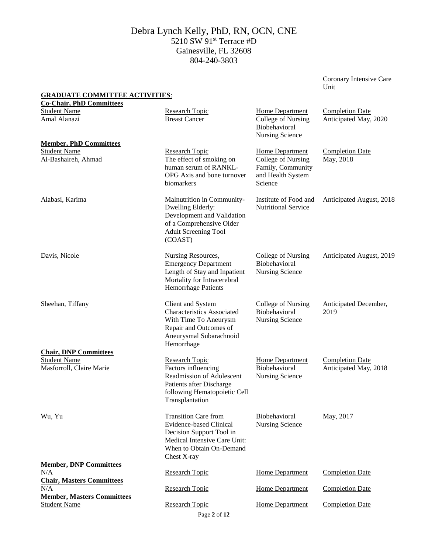Coronary Intensive Care Unit

| <b>GRADUATE COMMITTEE ACTIVITIES:</b><br><b>Co-Chair, PhD Committees</b>        |                                                                                                                                                                      |                                                                                            |                                                 |
|---------------------------------------------------------------------------------|----------------------------------------------------------------------------------------------------------------------------------------------------------------------|--------------------------------------------------------------------------------------------|-------------------------------------------------|
| <b>Student Name</b><br>Amal Alanazi                                             | <b>Research Topic</b><br><b>Breast Cancer</b>                                                                                                                        | <b>Home Department</b><br>College of Nursing<br>Biobehavioral<br>Nursing Science           | <b>Completion Date</b><br>Anticipated May, 2020 |
| <b>Member, PhD Committees</b><br><b>Student Name</b><br>Al-Bashaireh, Ahmad     | <b>Research Topic</b><br>The effect of smoking on<br>human serum of RANKL-<br>OPG Axis and bone turnover<br>biomarkers                                               | Home Department<br>College of Nursing<br>Family, Community<br>and Health System<br>Science | <b>Completion Date</b><br>May, 2018             |
| Alabasi, Karima                                                                 | Malnutrition in Community-<br>Dwelling Elderly:<br>Development and Validation<br>of a Comprehensive Older<br><b>Adult Screening Tool</b><br>(COAST)                  | Institute of Food and<br><b>Nutritional Service</b>                                        | Anticipated August, 2018                        |
| Davis, Nicole                                                                   | Nursing Resources,<br><b>Emergency Department</b><br>Length of Stay and Inpatient<br>Mortality for Intracerebral<br><b>Hemorrhage Patients</b>                       | College of Nursing<br>Biobehavioral<br><b>Nursing Science</b>                              | Anticipated August, 2019                        |
| Sheehan, Tiffany                                                                | Client and System<br><b>Characteristics Associated</b><br>With Time To Aneurysm<br>Repair and Outcomes of<br>Aneurysmal Subarachnoid<br>Hemorrhage                   | College of Nursing<br>Biobehavioral<br><b>Nursing Science</b>                              | Anticipated December,<br>2019                   |
| <b>Chair, DNP Committees</b><br><b>Student Name</b><br>Masforroll, Claire Marie | <b>Research Topic</b><br>Factors influencing<br>Readmission of Adolescent<br>Patients after Discharge<br>following Hematopoietic Cell<br>Transplantation             | Home Department<br>Biobehavioral<br><b>Nursing Science</b>                                 | <b>Completion Date</b><br>Anticipated May, 2018 |
| Wu, Yu                                                                          | <b>Transition Care from</b><br><b>Evidence-based Clinical</b><br>Decision Support Tool in<br>Medical Intensive Care Unit:<br>When to Obtain On-Demand<br>Chest X-ray | Biobehavioral<br><b>Nursing Science</b>                                                    | May, 2017                                       |
| <b>Member, DNP Committees</b><br>N/A                                            |                                                                                                                                                                      |                                                                                            | <b>Completion Date</b>                          |
| <b>Chair, Masters Committees</b>                                                | <b>Research Topic</b>                                                                                                                                                | <b>Home Department</b>                                                                     |                                                 |
| N/A<br><b>Member, Masters Committees</b>                                        | Research Topic                                                                                                                                                       | <b>Home Department</b>                                                                     | <b>Completion Date</b>                          |
| <b>Student Name</b>                                                             | <b>Research Topic</b><br>Page 2 of 12                                                                                                                                | <b>Home Department</b>                                                                     | <b>Completion Date</b>                          |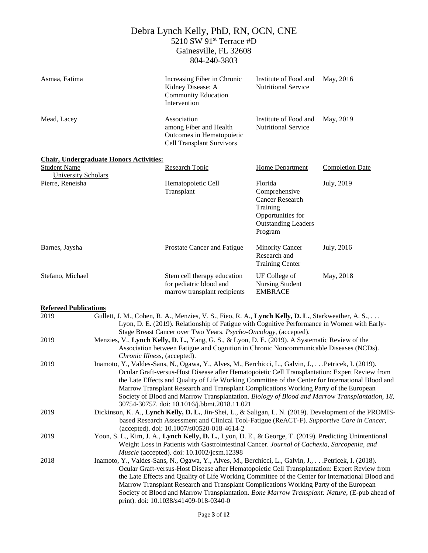| Asmaa, Fatima                |                                                                                                                                                                                                                                                                                                                                                                                                                                                                                                                                                       | Increasing Fiber in Chronic<br>Kidney Disease: A<br><b>Community Education</b><br>Intervention                                                                                                                                                                                                                                                                                                                                                                                                                                              | Institute of Food and<br>Nutritional Service                                                                                 | May, 2016              |
|------------------------------|-------------------------------------------------------------------------------------------------------------------------------------------------------------------------------------------------------------------------------------------------------------------------------------------------------------------------------------------------------------------------------------------------------------------------------------------------------------------------------------------------------------------------------------------------------|---------------------------------------------------------------------------------------------------------------------------------------------------------------------------------------------------------------------------------------------------------------------------------------------------------------------------------------------------------------------------------------------------------------------------------------------------------------------------------------------------------------------------------------------|------------------------------------------------------------------------------------------------------------------------------|------------------------|
| Mead, Lacey                  |                                                                                                                                                                                                                                                                                                                                                                                                                                                                                                                                                       | Association<br>among Fiber and Health<br>Outcomes in Hematopoietic<br><b>Cell Transplant Survivors</b>                                                                                                                                                                                                                                                                                                                                                                                                                                      | Institute of Food and<br><b>Nutritional Service</b>                                                                          | May, 2019              |
|                              | <b>Chair, Undergraduate Honors Activities:</b>                                                                                                                                                                                                                                                                                                                                                                                                                                                                                                        |                                                                                                                                                                                                                                                                                                                                                                                                                                                                                                                                             |                                                                                                                              |                        |
| <b>Student Name</b>          |                                                                                                                                                                                                                                                                                                                                                                                                                                                                                                                                                       | <b>Research Topic</b>                                                                                                                                                                                                                                                                                                                                                                                                                                                                                                                       | <b>Home Department</b>                                                                                                       | <b>Completion Date</b> |
| <b>University Scholars</b>   |                                                                                                                                                                                                                                                                                                                                                                                                                                                                                                                                                       |                                                                                                                                                                                                                                                                                                                                                                                                                                                                                                                                             |                                                                                                                              |                        |
| Pierre, Reneisha             |                                                                                                                                                                                                                                                                                                                                                                                                                                                                                                                                                       | Hematopoietic Cell<br>Transplant                                                                                                                                                                                                                                                                                                                                                                                                                                                                                                            | Florida<br>Comprehensive<br><b>Cancer Research</b><br>Training<br>Opportunities for<br><b>Outstanding Leaders</b><br>Program | July, 2019             |
| Barnes, Jaysha               |                                                                                                                                                                                                                                                                                                                                                                                                                                                                                                                                                       | Prostate Cancer and Fatigue                                                                                                                                                                                                                                                                                                                                                                                                                                                                                                                 | <b>Minority Cancer</b><br>Research and<br><b>Training Center</b>                                                             | July, 2016             |
| Stefano, Michael             |                                                                                                                                                                                                                                                                                                                                                                                                                                                                                                                                                       | Stem cell therapy education<br>for pediatric blood and<br>marrow transplant recipients                                                                                                                                                                                                                                                                                                                                                                                                                                                      | UF College of<br><b>Nursing Student</b><br><b>EMBRACE</b>                                                                    | May, 2018              |
| <b>Refereed Publications</b> |                                                                                                                                                                                                                                                                                                                                                                                                                                                                                                                                                       |                                                                                                                                                                                                                                                                                                                                                                                                                                                                                                                                             |                                                                                                                              |                        |
| 2019                         |                                                                                                                                                                                                                                                                                                                                                                                                                                                                                                                                                       | Gullett, J. M., Cohen, R. A., Menzies, V. S., Fieo, R. A., Lynch Kelly, D. L., Starkweather, A. S.,                                                                                                                                                                                                                                                                                                                                                                                                                                         |                                                                                                                              |                        |
|                              |                                                                                                                                                                                                                                                                                                                                                                                                                                                                                                                                                       | Lyon, D. E. (2019). Relationship of Fatigue with Cognitive Performance in Women with Early-<br>Stage Breast Cancer over Two Years. Psycho-Oncology, (accepted).                                                                                                                                                                                                                                                                                                                                                                             |                                                                                                                              |                        |
| 2019                         | Menzies, V., Lynch Kelly, D. L., Yang, G. S., & Lyon, D. E. (2019). A Systematic Review of the<br>Association between Fatigue and Cognition in Chronic Noncommunicable Diseases (NCDs).<br>Chronic Illness, (accepted).                                                                                                                                                                                                                                                                                                                               |                                                                                                                                                                                                                                                                                                                                                                                                                                                                                                                                             |                                                                                                                              |                        |
| 2019                         | Inamoto, Y., Valdes-Sans, N., Ogawa, Y., Alves, M., Berchicci, L., Galvin, J.,  . Petricek, I. (2019).<br>Ocular Graft-versus-Host Disease after Hematopoietic Cell Transplantation: Expert Review from<br>the Late Effects and Quality of Life Working Committee of the Center for International Blood and<br>Marrow Transplant Research and Transplant Complications Working Party of the European<br>Society of Blood and Marrow Transplantation. Biology of Blood and Marrow Transplantation, 18,<br>30754-30757. doi: 10.1016/j.bbmt.2018.11.021 |                                                                                                                                                                                                                                                                                                                                                                                                                                                                                                                                             |                                                                                                                              |                        |
| 2019                         |                                                                                                                                                                                                                                                                                                                                                                                                                                                                                                                                                       | Dickinson, K. A., Lynch Kelly, D. L., Jin-Shei, L., & Saligan, L. N. (2019). Development of the PROMIS-<br>based Research Assessment and Clinical Tool-Fatigue (ReACT-F). Supportive Care in Cancer,<br>(accepted). doi: 10.1007/s00520-018-4614-2                                                                                                                                                                                                                                                                                          |                                                                                                                              |                        |
| 2019                         |                                                                                                                                                                                                                                                                                                                                                                                                                                                                                                                                                       | Yoon, S. L., Kim, J. A., Lynch Kelly, D. L., Lyon, D. E., & George, T. (2019). Predicting Unintentional<br>Weight Loss in Patients with Gastrointestinal Cancer. Journal of Cachexia, Sarcopenia, and<br>Muscle (accepted). doi: 10.1002/jcsm.12398                                                                                                                                                                                                                                                                                         |                                                                                                                              |                        |
| 2018                         |                                                                                                                                                                                                                                                                                                                                                                                                                                                                                                                                                       | Inamoto, Y., Valdes-Sans, N., Ogawa, Y., Alves, M., Berchicci, L., Galvin, J., Petricek, I. (2018).<br>Ocular Graft-versus-Host Disease after Hematopoietic Cell Transplantation: Expert Review from<br>the Late Effects and Quality of Life Working Committee of the Center for International Blood and<br>Marrow Transplant Research and Transplant Complications Working Party of the European<br>Society of Blood and Marrow Transplantation. Bone Marrow Transplant: Nature, (E-pub ahead of<br>print). doi: 10.1038/s41409-018-0340-0 |                                                                                                                              |                        |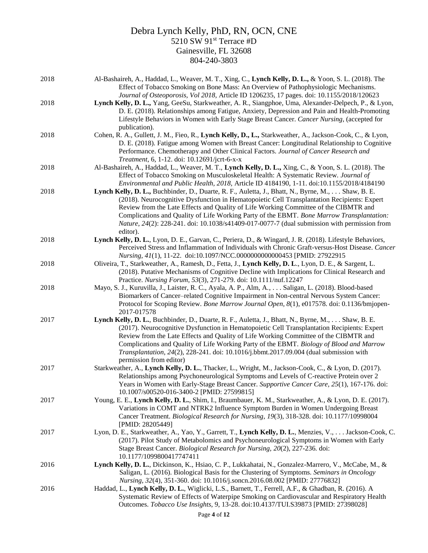| 2018 | Al-Bashaireh, A., Haddad, L., Weaver, M. T., Xing, C., Lynch Kelly, D. L., & Yoon, S. L. (2018). The<br>Effect of Tobacco Smoking on Bone Mass: An Overview of Pathophysiologic Mechanisms.                                                                                                                                                                                                                                                                                                               |
|------|-----------------------------------------------------------------------------------------------------------------------------------------------------------------------------------------------------------------------------------------------------------------------------------------------------------------------------------------------------------------------------------------------------------------------------------------------------------------------------------------------------------|
| 2018 | Journal of Osteoporosis, Vol 2018, Article ID 1206235, 17 pages. doi: 10.1155/2018/120623<br>Lynch Kelly, D. L., Yang, GeeSu, Starkweather, A. R., Siangphoe, Uma, Alexander-Delpech, P., & Lyon,                                                                                                                                                                                                                                                                                                         |
|      | D. E. (2018). Relationships among Fatigue, Anxiety, Depression and Pain and Health-Promoting<br>Lifestyle Behaviors in Women with Early Stage Breast Cancer. Cancer Nursing, (accepted for<br>publication).                                                                                                                                                                                                                                                                                               |
| 2018 | Cohen, R. A., Gullett, J. M., Fieo, R., Lynch Kelly, D., L., Starkweather, A., Jackson-Cook, C., & Lyon,<br>D. E. (2018). Fatigue among Women with Breast Cancer: Longitudinal Relationship to Cognitive<br>Performance. Chemotherapy and Other Clinical Factors. Journal of Cancer Research and<br>Treatment, 6, 1-12. doi: 10.12691/jcrt-6-x-x                                                                                                                                                          |
| 2018 | Al-Bashaireh, A., Haddad, L., Weaver, M. T., Lynch Kelly, D. L., Xing, C., & Yoon, S. L. (2018). The<br>Effect of Tobacco Smoking on Musculoskeletal Health: A Systematic Review. Journal of<br>Environmental and Public Health, 2018, Article ID 4184190, 1-11. doi:10.1155/2018/4184190                                                                                                                                                                                                                 |
| 2018 | Lynch Kelly, D. L., Buchbinder, D., Duarte, R. F., Auletta, J., Bhatt, N., Byrne, M.,  Shaw, B. E.<br>(2018). Neurocognitive Dysfunction in Hematopoietic Cell Transplantation Recipients: Expert<br>Review from the Late Effects and Quality of Life Working Committee of the CIBMTR and<br>Complications and Quality of Life Working Party of the EBMT. Bone Marrow Transplantation:<br>Nature, 24(2): 228-241. doi: 10.1038/s41409-017-0077-7 (dual submission with permission from<br>editor).        |
| 2018 | Lynch Kelly, D. L., Lyon, D. E., Garvan, C., Periera, D., & Wingard, J. R. (2018). Lifestyle Behaviors,<br>Perceived Stress and Inflammation of Individuals with Chronic Graft-versus-Host Disease. Cancer<br>Nursing, 41(1), 11-22. doi:10.1097/NCC.0000000000000453 [PMID: 27922915                                                                                                                                                                                                                     |
| 2018 | Oliveira, T., Starkweather, A., Ramesh, D., Fetta, J., Lynch Kelly, D. L., Lyon, D. E., & Sargent, L.<br>(2018). Putative Mechanisms of Cognitive Decline with Implications for Clinical Research and<br>Practice. Nursing Forum, 53(3), 271-279. doi: 10.1111/nuf.12247                                                                                                                                                                                                                                  |
| 2018 | Mayo, S. J., Kuruvilla, J., Laister, R. C., Ayala, A. P., Alm, A.,  Saligan, L. (2018). Blood-based<br>Biomarkers of Cancer-related Cognitive Impairment in Non-central Nervous System Cancer:<br>Protocol for Scoping Review. Bone Marrow Journal Open, 8(1), e017578. doi: 0.1136/bmjopen-<br>2017-017578                                                                                                                                                                                               |
| 2017 | Lynch Kelly, D. L., Buchbinder, D., Duarte, R. F., Auletta, J., Bhatt, N., Byrne, M., Shaw, B. E.<br>(2017). Neurocognitive Dysfunction in Hematopoietic Cell Transplantation Recipients: Expert<br>Review from the Late Effects and Quality of Life Working Committee of the CIBMTR and<br>Complications and Quality of Life Working Party of the EBMT. Biology of Blood and Marrow<br>Transplantation, 24(2), 228-241. doi: 10.1016/j.bbmt.2017.09.004 (dual submission with<br>permission from editor) |
| 2017 | Starkweather, A., Lynch Kelly, D. L., Thacker, L., Wright, M., Jackson-Cook, C., & Lyon, D. (2017).<br>Relationships among Psychoneurological Symptoms and Levels of C-reactive Protein over 2<br>Years in Women with Early-Stage Breast Cancer. Supportive Cancer Care, 25(1), 167-176. doi:<br>10.1007/s00520-016-3400-2 [PMID: 27599815]                                                                                                                                                               |
| 2017 | Young, E. E., Lynch Kelly, D. L., Shim, I., Braumbauer, K. M., Starkweather, A., & Lyon, D. E. (2017).<br>Variations in COMT and NTRK2 Influence Symptom Burden in Women Undergoing Breast<br>Cancer Treatment. Biological Research for Nursing, 19(3), 318-328. doi: 10.1177/10998004<br>[PMID: 28205449]                                                                                                                                                                                                |
| 2017 | Lyon, D. E., Starkweather, A., Yao, Y., Garrett, T., Lynch Kelly, D. L., Menzies, V., Jackson-Cook, C.<br>(2017). Pilot Study of Metabolomics and Psychoneurological Symptoms in Women with Early<br>Stage Breast Cancer. Biological Research for Nursing, 20(2), 227-236. doi:<br>10.1177/1099800417747411                                                                                                                                                                                               |
| 2016 | Lynch Kelly, D. L., Dickinson, K., Hsiao, C. P., Lukkahatai, N., Gonzalez-Marrero, V., McCabe, M., &<br>Saligan, L. (2016). Biological Basis for the Clustering of Symptoms. Seminars in Oncology<br>Nursing, 32(4), 351-360. doi: 10.1016/j.soncn.2016.08.002 [PMID: 27776832]                                                                                                                                                                                                                           |
| 2016 | Haddad, L., Lynch Kelly, D. L., Wiglicki, L.S., Barnett, T., Ferrell, A.F., & Ghadban, R. (2016). A<br>Systematic Review of Effects of Waterpipe Smoking on Cardiovascular and Respiratory Health<br>Outcomes. Tobacco Use Insights, 9, 13-28. doi:10.4137/TUI.S39873 [PMID: 27398028]                                                                                                                                                                                                                    |
|      | Dega $\Lambda$ of 12                                                                                                                                                                                                                                                                                                                                                                                                                                                                                      |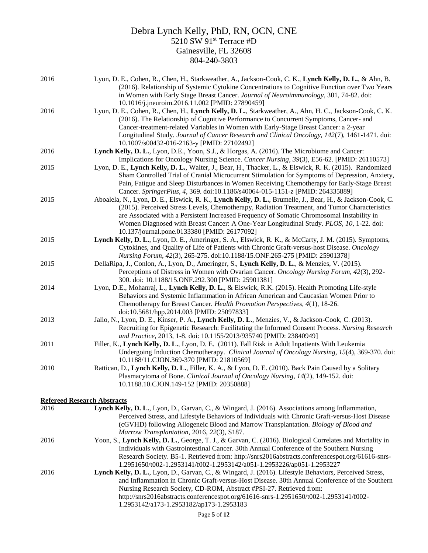| 2016 | Lyon, D. E., Cohen, R., Chen, H., Starkweather, A., Jackson-Cook, C. K., Lynch Kelly, D. L., & Ahn, B.                                                                                |
|------|---------------------------------------------------------------------------------------------------------------------------------------------------------------------------------------|
|      | (2016). Relationship of Systemic Cytokine Concentrations to Cognitive Function over Two Years                                                                                         |
|      | in Women with Early Stage Breast Cancer. Journal of Neuroimmunology, 301, 74-82. doi:                                                                                                 |
|      | 10.1016/j.jneuroim.2016.11.002 [PMID: 27890459]                                                                                                                                       |
| 2016 | Lyon, D. E., Cohen, R., Chen, H., Lynch Kelly, D. L., Starkweather, A., Ahn, H. C., Jackson-Cook, C. K.                                                                               |
|      | (2016). The Relationship of Cognitive Performance to Concurrent Symptoms, Cancer- and                                                                                                 |
|      | Cancer-treatment-related Variables in Women with Early-Stage Breast Cancer: a 2-year<br>Longitudinal Study. Journal of Cancer Research and Clinical Oncology, 142(7), 1461-1471. doi: |
|      | 10.1007/s00432-016-2163-y [PMID: 27102492]                                                                                                                                            |
| 2016 | Lynch Kelly, D. L., Lyon, D.E., Yoon, S.J., & Horgas, A. (2016). The Microbiome and Cancer:                                                                                           |
|      | Implications for Oncology Nursing Science. Cancer Nursing, 39(3), E56-62. [PMID: 26110573]                                                                                            |
| 2015 | Lyon, D. E., Lynch Kelly, D. L., Walter, J., Bear, H., Thacker, L., & Elswick, R. K. (2015). Randomized                                                                               |
|      | Sham Controlled Trial of Cranial Microcurrent Stimulation for Symptoms of Depression, Anxiety,                                                                                        |
|      | Pain, Fatigue and Sleep Disturbances in Women Receiving Chemotherapy for Early-Stage Breast                                                                                           |
|      | Cancer. SpringerPlus, 4, 369. doi:10.1186/s40064-015-1151-z [PMID: 264335889]                                                                                                         |
| 2015 | Aboalela, N., Lyon, D. E., Elswick, R. K., Lynch Kelly, D. L., Brumelle, J., Bear, H., & Jackson-Cook, C.                                                                             |
|      | (2015). Perceived Stress Levels, Chemotherapy, Radiation Treatment, and Tumor Characteristics                                                                                         |
|      | are Associated with a Persistent Increased Frequency of Somatic Chromosomal Instability in                                                                                            |
|      | Women Diagnosed with Breast Cancer: A One-Year Longitudinal Study. PLOS, 10, 1-22. doi:                                                                                               |
|      | 10.137/journal.pone.0133380 [PMID: 26177092]                                                                                                                                          |
| 2015 | Lynch Kelly, D. L., Lyon, D. E., Ameringer, S. A., Elswick, R. K., & McCarty, J. M. (2015). Symptoms,                                                                                 |
|      | Cytokines, and Quality of Life of Patients with Chronic Graft-versus-host Disease. Oncology                                                                                           |
|      | Nursing Forum, 42(3), 265-275. doi:10.1188/15.ONF.265-275 [PMID: 25901378]                                                                                                            |
| 2015 | DellaRipa, J., Conlon, A., Lyon, D., Ameringer, S., Lynch Kelly, D. L., & Menzies, V. (2015).                                                                                         |
|      | Perceptions of Distress in Women with Ovarian Cancer. Oncology Nursing Forum, 42(3), 292-                                                                                             |
| 2014 | 300. doi: 10.1188/15.ONF.292.300 [PMID: 25901381]<br>Lyon, D.E., Mohanraj, L., Lynch Kelly, D. L., & Elswick, R.K. (2015). Health Promoting Life-style                                |
|      | Behaviors and Systemic Inflammation in African American and Caucasian Women Prior to                                                                                                  |
|      | Chemotherapy for Breast Cancer. Health Promotion Perspectives, 4(1), 18-26.                                                                                                           |
|      | doi:10.5681/hpp.2014.003 [PMID: 25097833]                                                                                                                                             |
| 2013 | Jallo, N., Lyon, D. E., Kinser, P. A., Lynch Kelly, D. L., Menzies, V., & Jackson-Cook, C. (2013).                                                                                    |
|      | Recruiting for Epigenetic Research: Facilitating the Informed Consent Process. Nursing Research                                                                                       |
|      | and Practice, 2013, 1-8. doi: 10.1155/2013/935740 [PMID: 23840949]                                                                                                                    |
| 2011 | Filler, K., Lynch Kelly, D. L., Lyon, D. E. (2011). Fall Risk in Adult Inpatients With Leukemia                                                                                       |
|      | Undergoing Induction Chemotherapy. Clinical Journal of Oncology Nursing, 15(4), 369-370. doi:                                                                                         |
|      | 10.1188/11.CJON.369-370 [PMID: 21810569]                                                                                                                                              |
| 2010 | Rattican, D., Lynch Kelly, D. L., Filler, K. A., & Lyon, D. E. (2010). Back Pain Caused by a Solitary                                                                                 |
|      | Plasmacytoma of Bone. Clinical Journal of Oncology Nursing, 14(2), 149-152. doi:                                                                                                      |
|      | 10.1188.10.CJON.149-152 [PMID: 20350888]                                                                                                                                              |
|      |                                                                                                                                                                                       |

# **Refereed Research Abstracts**

| 2016 | Lynch Kelly, D. L., Lyon, D., Garvan, C., & Wingard, J. (2016). Associations among Inflammation,         |
|------|----------------------------------------------------------------------------------------------------------|
|      | Perceived Stress, and Lifestyle Behaviors of Individuals with Chronic Graft-versus-Host Disease          |
|      | (cGVHD) following Allogeneic Blood and Marrow Transplantation. Biology of Blood and                      |
|      | Marrow Transplantation, 2016, 22(3), S187.                                                               |
| 2016 | Yoon, S., Lynch Kelly, D. L., George, T. J., & Garvan, C. (2016). Biological Correlates and Mortality in |
|      | Individuals with Gastrointestinal Cancer. 30th Annual Conference of the Southern Nursing                 |
|      | Research Society. B5-1. Retrieved from: http://snrs2016abstracts.conferencespot.org/61616-snrs-          |
|      | 1.2951650/t002-1.2953141/f002-1.2953142/a051-1.2953226/ap051-1.2953227                                   |
| 2016 | Lynch Kelly, D. L., Lyon, D., Garvan, C., & Wingard, J. (2016). Lifestyle Behaviors, Perceived Stress,   |
|      | and Inflammation in Chronic Graft-versus-Host Disease. 30th Annual Conference of the Southern            |
|      | Nursing Research Society, CD-ROM, Abstract #PSI-27. Retrieved from:                                      |
|      | http://snrs2016abstracts.conferencespot.org/61616-snrs-1.2951650/t002-1.2953141/f002-                    |
|      | 1.2953142/a173-1.2953182/ap173-1.2953183                                                                 |
|      |                                                                                                          |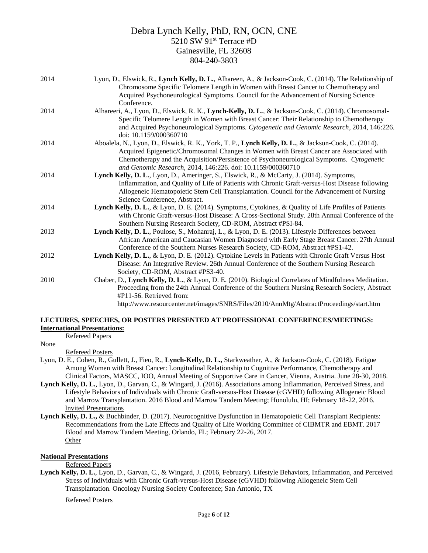| 2014 | Lyon, D., Elswick, R., Lynch Kelly, D. L., Alhareen, A., & Jackson-Cook, C. (2014). The Relationship of<br>Chromosome Specific Telomere Length in Women with Breast Cancer to Chemotherapy and<br>Acquired Psychoneurological Symptoms. Council for the Advancement of Nursing Science |
|------|----------------------------------------------------------------------------------------------------------------------------------------------------------------------------------------------------------------------------------------------------------------------------------------|
|      | Conference.                                                                                                                                                                                                                                                                            |
| 2014 | Alhareeri, A., Lyon, D., Elswick, R. K., Lynch-Kelly, D. L., & Jackson-Cook, C. (2014). Chromosomal-                                                                                                                                                                                   |
|      | Specific Telomere Length in Women with Breast Cancer: Their Relationship to Chemotherapy                                                                                                                                                                                               |
|      | and Acquired Psychoneurological Symptoms. Cytogenetic and Genomic Research, 2014, 146:226.                                                                                                                                                                                             |
|      | doi: 10.1159/000360710                                                                                                                                                                                                                                                                 |
| 2014 | Aboalela, N., Lyon, D., Elswick, R. K., York, T. P., Lynch Kelly, D. L., & Jackson-Cook, C. (2014).                                                                                                                                                                                    |
|      | Acquired Epigenetic/Chromosomal Changes in Women with Breast Cancer are Associated with                                                                                                                                                                                                |
|      | Chemotherapy and the Acquisition/Persistence of Psychoneurological Symptoms. Cytogenetic                                                                                                                                                                                               |
|      | and Genomic Research, 2014, 146:226. doi: 10.1159/000360710                                                                                                                                                                                                                            |
| 2014 | Lynch Kelly, D. L., Lyon, D., Ameringer, S., Elswick, R., & McCarty, J. (2014). Symptoms,                                                                                                                                                                                              |
|      | Inflammation, and Quality of Life of Patients with Chronic Graft-versus-Host Disease following                                                                                                                                                                                         |
|      | Allogeneic Hematopoietic Stem Cell Transplantation. Council for the Advancement of Nursing                                                                                                                                                                                             |
|      | Science Conference, Abstract.                                                                                                                                                                                                                                                          |
| 2014 | Lynch Kelly, D. L., & Lyon, D. E. (2014). Symptoms, Cytokines, & Quality of Life Profiles of Patients                                                                                                                                                                                  |
|      | with Chronic Graft-versus-Host Disease: A Cross-Sectional Study. 28th Annual Conference of the                                                                                                                                                                                         |
|      | Southern Nursing Research Society, CD-ROM, Abstract #PSI-84.                                                                                                                                                                                                                           |
| 2013 | Lynch Kelly, D. L., Poulose, S., Mohanraj, L., & Lyon, D. E. (2013). Lifestyle Differences between                                                                                                                                                                                     |
|      | African American and Caucasian Women Diagnosed with Early Stage Breast Cancer. 27th Annual                                                                                                                                                                                             |
|      | Conference of the Southern Nurses Research Society, CD-ROM, Abstract #PS1-42.                                                                                                                                                                                                          |
| 2012 | Lynch Kelly, D. L., & Lyon, D. E. (2012). Cytokine Levels in Patients with Chronic Graft Versus Host                                                                                                                                                                                   |
|      | Disease: An Integrative Review. 26th Annual Conference of the Southern Nursing Research                                                                                                                                                                                                |
|      | Society, CD-ROM, Abstract #PS3-40.                                                                                                                                                                                                                                                     |
| 2010 | Chaber, D., Lynch Kelly, D. L., & Lyon, D. E. (2010). Biological Correlates of Mindfulness Meditation.                                                                                                                                                                                 |
|      | Proceeding from the 24th Annual Conference of the Southern Nursing Research Society, Abstract                                                                                                                                                                                          |
|      | #P11-56. Retrieved from:                                                                                                                                                                                                                                                               |
|      | http://www.resourcenter.net/images/SNRS/Files/2010/AnnMtg/AbstractProceedings/start.htm                                                                                                                                                                                                |

#### **LECTURES, SPEECHES, OR POSTERS PRESENTED AT PROFESSIONAL CONFERENCES/MEETINGS: International Presentations:**

Refereed Papers

None

Refereed Posters

- Lyon, D. E., Cohen, R., Gullett, J., Fieo, R., **Lynch-Kelly, D. L.,** Starkweather, A., & Jackson-Cook, C. (2018). Fatigue Among Women with Breast Cancer: Longitudinal Relationship to Cognitive Performance, Chemotherapy and Clinical Factors, MASCC, IOO, Annual Meeting of Supportive Care in Cancer, Vienna, Austria. June 28-30, 2018.
- **Lynch Kelly, D. L.**, Lyon, D., Garvan, C., & Wingard, J. (2016). Associations among Inflammation, Perceived Stress, and Lifestyle Behaviors of Individuals with Chronic Graft-versus-Host Disease (cGVHD) following Allogeneic Blood and Marrow Transplantation. 2016 Blood and Marrow Tandem Meeting; Honolulu, HI; February 18-22, 2016. Invited Presentations
- Lynch Kelly, D. L., & Buchbinder, D. (2017). Neurocognitive Dysfunction in Hematopoietic Cell Transplant Recipients: Recommendations from the Late Effects and Quality of Life Working Committee of CIBMTR and EBMT. 2017 Blood and Marrow Tandem Meeting, Orlando, FL; February 22-26, 2017. **Other**

## **National Presentations**

Refereed Papers

**Lynch Kelly, D. L.**, Lyon, D., Garvan, C., & Wingard, J. (2016, February). Lifestyle Behaviors, Inflammation, and Perceived Stress of Individuals with Chronic Graft-versus-Host Disease (cGVHD) following Allogeneic Stem Cell Transplantation. Oncology Nursing Society Conference; San Antonio, TX

## Refereed Posters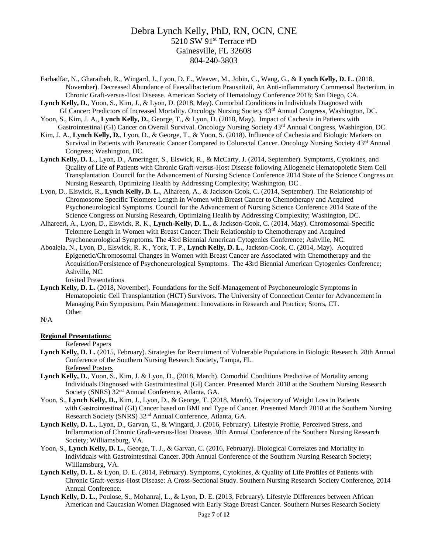- Farhadfar, N., Gharaibeh, R., Wingard, J., Lyon, D. E., Weaver, M., Jobin, C., Wang, G., & **Lynch Kelly, D. L.** (2018, November). Decreased Abundance of Faecalibacterium Prausnitzii, An Anti-inflammatory Commensal Bacterium, in Chronic Graft-versus-Host Disease. American Society of Hematology Conference 2018; San Diego, CA.
- **Lynch Kelly, D.**, Yoon, S., Kim, J., & Lyon, D. (2018, May). Comorbid Conditions in Individuals Diagnosed with GI Cancer: Predictors of Increased Mortality. Oncology Nursing Society 43rd Annual Congress, Washington, DC.
- Yoon, S., Kim, J. A., **Lynch Kelly, D.**, George, T., & Lyon, D. (2018, May). Impact of Cachexia in Patients with Gastrointestinal (GI) Cancer on Overall Survival. Oncology Nursing Society 43rd Annual Congress, Washington, DC.
- Kim, J. A., **Lynch Kelly, D.**, Lyon, D., & George, T., & Yoon, S. (2018). Influence of Cachexia and Biologic Markers on Survival in Patients with Pancreatic Cancer Compared to Colorectal Cancer. Oncology Nursing Society 43<sup>rd</sup> Annual Congress; Washington, DC.
- **Lynch Kelly, D. L**., Lyon, D., Ameringer, S., Elswick, R., & McCarty, J. (2014, September). Symptoms, Cytokines, and Quality of Life of Patients with Chronic Graft-versus-Host Disease following Allogeneic Hematopoietic Stem Cell Transplantation. Council for the Advancement of Nursing Science Conference 2014 State of the Science Congress on Nursing Research, Optimizing Health by Addressing Complexity; Washington, DC .
- Lyon, D., Elswick, R., **Lynch Kelly, D. L.**, Alhareen, A., & Jackson-Cook, C. (2014, September). The Relationship of Chromosome Specific Telomere Length in Women with Breast Cancer to Chemotherapy and Acquired Psychoneurological Symptoms. Council for the Advancement of Nursing Science Conference 2014 State of the Science Congress on Nursing Research, Optimizing Health by Addressing Complexity; Washington, DC.
- Alhareeri, A., Lyon, D., Elswick, R. K., **Lynch-Kelly, D. L.**, & Jackson-Cook, C. (2014, May). Chromosomal-Specific Telomere Length in Women with Breast Cancer: Their Relationship to Chemotherapy and Acquired Psychoneurological Symptoms. The 43rd Biennial American Cytogenics Conference; Ashville, NC.
- Aboalela, N., Lyon, D., Elswick, R. K., York, T. P., **Lynch Kelly, D. L.**, Jackson-Cook, C. (2014, May). Acquired Epigenetic/Chromosomal Changes in Women with Breast Cancer are Associated with Chemotherapy and the Acquisition/Persistence of Psychoneurological Symptoms. The 43rd Biennial American Cytogenics Conference; Ashville, NC.

Invited Presentations

**Lynch Kelly, D. L.** (2018, November). Foundations for the Self-Management of Psychoneurologic Symptoms in Hematopoietic Cell Transplantation (HCT) Survivors. The University of Connecticut Center for Advancement in Managing Pain Symposium, Pain Management: Innovations in Research and Practice; Storrs, CT. Other

N/A

## **Regional Presentations:**

Refereed Papers

- **Lynch Kelly, D. L.** (2015, February). Strategies for Recruitment of Vulnerable Populations in Biologic Research. 28th Annual Conference of the Southern Nursing Research Society, Tampa, FL. Refereed Posters
- **Lynch Kelly, D.**, Yoon, S., Kim, J. & Lyon, D., (2018, March). Comorbid Conditions Predictive of Mortality among Individuals Diagnosed with Gastrointestinal (GI) Cancer. Presented March 2018 at the Southern Nursing Research Society (SNRS) 32nd Annual Conference, Atlanta, GA.
- Yoon, S., **Lynch Kelly, D.,** Kim, J., Lyon, D., & George, T. (2018, March). Trajectory of Weight Loss in Patients with Gastrointestinal (GI) Cancer based on BMI and Type of Cancer. Presented March 2018 at the Southern Nursing Research Society (SNRS) 32nd Annual Conference, Atlanta, GA.
- **Lynch Kelly, D. L.**, Lyon, D., Garvan, C., & Wingard, J. (2016, February). Lifestyle Profile, Perceived Stress, and Inflammation of Chronic Graft-versus-Host Disease. 30th Annual Conference of the Southern Nursing Research Society; Williamsburg, VA.
- Yoon, S., **Lynch Kelly, D. L.**, George, T. J., & Garvan, C. (2016, February). Biological Correlates and Mortality in Individuals with Gastrointestinal Cancer. 30th Annual Conference of the Southern Nursing Research Society; Williamsburg, VA.
- **Lynch Kelly, D. L.** & Lyon, D. E. (2014, February). Symptoms, Cytokines, & Quality of Life Profiles of Patients with Chronic Graft-versus-Host Disease: A Cross-Sectional Study. Southern Nursing Research Society Conference, 2014 Annual Conference.
- **Lynch Kelly, D. L.**, Poulose, S., Mohanraj, L., & Lyon, D. E. (2013, February). Lifestyle Differences between African American and Caucasian Women Diagnosed with Early Stage Breast Cancer. Southern Nurses Research Society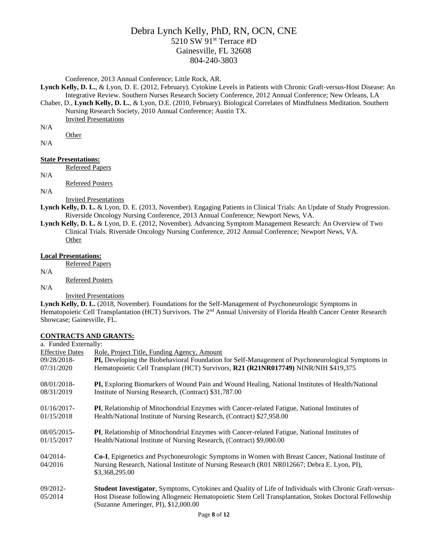Conference, 2013 Annual Conference; Little Rock, AR.

**Lynch Kelly, D. L.**, & Lyon, D. E. (2012, February). Cytokine Levels in Patients with Chronic Graft-versus-Host Disease: An Integrative Review. Southern Nurses Research Society Conference, 2012 Annual Conference; New Orleans, LA

Chaber, D., **Lynch Kelly, D. L.**, & Lyon, D.E. (2010, February). Biological Correlates of Mindfulness Meditation. Southern Nursing Research Society, 2010 Annual Conference; Austin TX.

Invited Presentations

N/A

N/A

## **State Presentations:**

**Other** 

Refereed Papers

N/A

Refereed Posters N/A

Invited Presentations

- **Lynch Kelly, D. L.** & Lyon, D. E. (2013, November). Engaging Patients in Clinical Trials: An Update of Study Progression. Riverside Oncology Nursing Conference, 2013 Annual Conference; Newport News, VA.
- **Lynch Kelly, D. L.** & Lyon, D. E. (2012, November). Advancing Symptom Management Research: An Overview of Two Clinical Trials. Riverside Oncology Nursing Conference, 2012 Annual Conference; Newport News, VA. Other

### **Local Presentations:**

Refereed Papers

N/A

Refereed Posters

N/A

Invited Presentations

Lynch Kelly, D. L. (2018, November). Foundations for the Self-Management of Psychoneurologic Symptoms in Hematopoietic Cell Transplantation (HCT) Survivors. The 2<sup>nd</sup> Annual University of Florida Health Cancer Center Research Showcase; Gainesville, FL.

## **CONTRACTS AND GRANTS:**

| a. Funded Externally:  |                                                                                                                                               |
|------------------------|-----------------------------------------------------------------------------------------------------------------------------------------------|
| <b>Effective Dates</b> | Role, Project Title, Funding Agency, Amount                                                                                                   |
| 09/28/2018-            | PI, Developing the Biobehavioral Foundation for Self-Management of Psychoneurological Symptoms in                                             |
| 07/31/2020             | Hematopoietic Cell Transplant (HCT) Survivors, R21 (R21NR017749) NINR/NIH \$419,375                                                           |
| 08/01/2018-            | <b>PI,</b> Exploring Biomarkers of Wound Pain and Wound Healing, National Institutes of Health/National                                       |
| 08/31/2019             | Institute of Nursing Research, (Contract) \$31,787.00                                                                                         |
| $01/16/2017$ -         | PI, Relationship of Mitochondrial Enzymes with Cancer-related Fatigue, National Institutes of                                                 |
| 01/15/2018             | Health/National Institute of Nursing Research, (Contract) \$27,958.00                                                                         |
| 08/05/2015-            | PI, Relationship of Mitochondrial Enzymes with Cancer-related Fatigue, National Institutes of                                                 |
| 01/15/2017             | Health/National Institute of Nursing Research, (Contract) \$9,000.00                                                                          |
| $04/2014$ -            | Co-I, Epigenetics and Psychoneurologic Symptoms in Women with Breast Cancer, National Institute of                                            |
| 04/2016                | Nursing Research, National Institute of Nursing Research (R01 NR012667; Debra E. Lyon, PI),<br>\$3,368,295.00                                 |
| 09/2012-               | Student Investigator, Symptoms, Cytokines and Quality of Life of Individuals with Chronic Graft-versus-                                       |
| 05/2014                | Host Disease following Allogeneic Hematopoietic Stem Cell Transplantation, Stokes Doctoral Fellowship<br>(Suzanne Ameringer, PI), \$12,000.00 |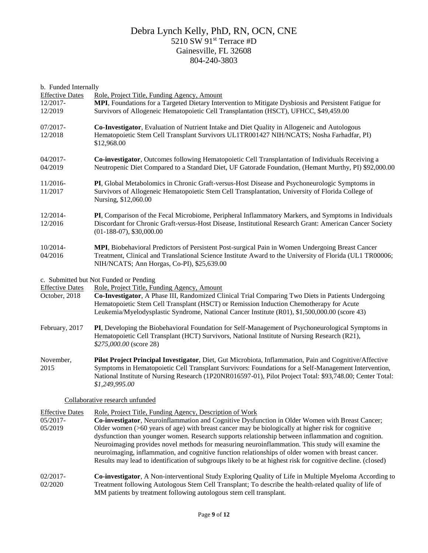| b. Funded Internally   |                                                                                                              |
|------------------------|--------------------------------------------------------------------------------------------------------------|
| <b>Effective Dates</b> | Role, Project Title, Funding Agency, Amount                                                                  |
| 12/2017-               | MPI, Foundations for a Targeted Dietary Intervention to Mitigate Dysbiosis and Persistent Fatigue for        |
| 12/2019                | Survivors of Allogeneic Hematopoietic Cell Transplantation (HSCT), UFHCC, \$49,459.00                        |
| 07/2017-               | Co-Investigator, Evaluation of Nutrient Intake and Diet Quality in Allogeneic and Autologous                 |
| 12/2018                | Hematopoietic Stem Cell Transplant Survivors UL1TR001427 NIH/NCATS; Nosha Farhadfar, PI)                     |
|                        | \$12,968.00                                                                                                  |
| 04/2017-               | Co-investigator, Outcomes following Hematopoietic Cell Transplantation of Individuals Receiving a            |
| 04/2019                | Neutropenic Diet Compared to a Standard Diet, UF Gatorade Foundation, (Hemant Murthy, PI) \$92,000.00        |
|                        |                                                                                                              |
| 11/2016-               | PI, Global Metabolomics in Chronic Graft-versus-Host Disease and Psychoneurologic Symptoms in                |
| 11/2017                | Survivors of Allogeneic Hematopoietic Stem Cell Transplantation, University of Florida College of            |
|                        | Nursing, \$12,060.00                                                                                         |
| 12/2014-               | PI, Comparison of the Fecal Microbiome, Peripheral Inflammatory Markers, and Symptoms in Individuals         |
| 12/2016                | Discordant for Chronic Graft-versus-Host Disease, Institutional Research Grant: American Cancer Society      |
|                        | $(01-188-07), $30,000.00$                                                                                    |
| 10/2014-               | MPI, Biobehavioral Predictors of Persistent Post-surgical Pain in Women Undergoing Breast Cancer             |
| 04/2016                | Treatment, Clinical and Translational Science Institute Award to the University of Florida (UL1 TR00006;     |
|                        | NIH/NCATS; Ann Horgas, Co-PI), \$25,639.00                                                                   |
|                        | c. Submitted but Not Funded or Pending                                                                       |
| <b>Effective Dates</b> | Role, Project Title, Funding Agency, Amount                                                                  |
| October, 2018          | Co-Investigator, A Phase III, Randomized Clinical Trial Comparing Two Diets in Patients Undergoing           |
|                        | Hematopoietic Stem Cell Transplant (HSCT) or Remission Induction Chemotherapy for Acute                      |
|                        | Leukemia/Myelodysplastic Syndrome, National Cancer Institute (R01), \$1,500,000.00 (score 43)                |
| February, 2017         | PI, Developing the Biobehavioral Foundation for Self-Management of Psychoneurological Symptoms in            |
|                        | Hematopoietic Cell Transplant (HCT) Survivors, National Institute of Nursing Research (R21),                 |
|                        | \$275,000.00 (score 28)                                                                                      |
| November,              | Pilot Project Principal Investigator, Diet, Gut Microbiota, Inflammation, Pain and Cognitive/Affective       |
| 2015                   | Symptoms in Hematopoietic Cell Transplant Survivors: Foundations for a Self-Management Intervention,         |
|                        | National Institute of Nursing Research (1P20NR016597-01), Pilot Project Total: \$93,748.00; Center Total:    |
|                        | \$1,249,995.00                                                                                               |
|                        | Collaborative research unfunded                                                                              |
| <b>Effective Dates</b> | Role, Project Title, Funding Agency, Description of Work                                                     |
| 05/2017-               | Co-investigator, Neuroinflammation and Cognitive Dysfunction in Older Women with Breast Cancer;              |
| 05/2019                | Older women (>60 years of age) with breast cancer may be biologically at higher risk for cognitive           |
|                        | dysfunction than younger women. Research supports relationship between inflammation and cognition.           |
|                        | Neuroimaging provides novel methods for measuring neuroinflammation. This study will examine the             |
|                        | neuroimaging, inflammation, and cognitive function relationships of older women with breast cancer.          |
|                        | Results may lead to identification of subgroups likely to be at highest risk for cognitive decline. (closed) |
| 02/2017-               | Co-investigator, A Non-interventional Study Exploring Quality of Life in Multiple Myeloma According to       |
| 02/2020                | Treatment following Autologous Stem Cell Transplant; To describe the health-related quality of life of       |
|                        | MM patients by treatment following autologous stem cell transplant.                                          |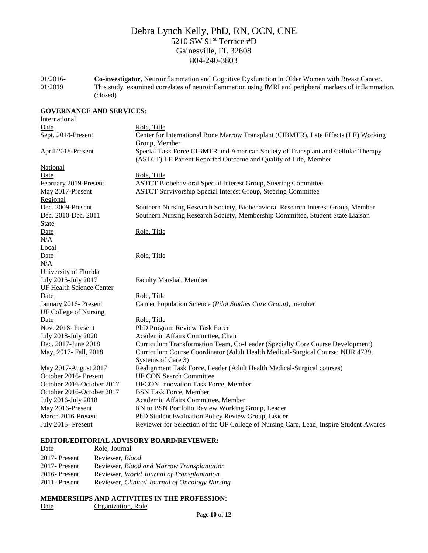01/2016- 01/2019 **Co-investigator**, Neuroinflammation and Cognitive Dysfunction in Older Women with Breast Cancer. This study examined correlates of neuroinflammation using fMRI and peripheral markers of inflammation. (closed)

## **GOVERNANCE AND SERVICES**:

| International                   |                                                                                                                                                      |
|---------------------------------|------------------------------------------------------------------------------------------------------------------------------------------------------|
| Date                            | Role, Title                                                                                                                                          |
| Sept. 2014-Present              | Center for International Bone Marrow Transplant (CIBMTR), Late Effects (LE) Working<br>Group, Member                                                 |
| April 2018-Present              | Special Task Force CIBMTR and American Society of Transplant and Cellular Therapy<br>(ASTCT) LE Patient Reported Outcome and Quality of Life, Member |
| National                        |                                                                                                                                                      |
| Date                            | Role, Title                                                                                                                                          |
| February 2019-Present           | <b>ASTCT Biobehavioral Special Interest Group, Steering Committee</b>                                                                                |
| May 2017-Present                | <b>ASTCT Survivorship Special Interest Group, Steering Committee</b>                                                                                 |
| Regional                        |                                                                                                                                                      |
| Dec. 2009-Present               | Southern Nursing Research Society, Biobehavioral Research Interest Group, Member                                                                     |
| Dec. 2010-Dec. 2011             | Southern Nursing Research Society, Membership Committee, Student State Liaison                                                                       |
| <b>State</b>                    |                                                                                                                                                      |
| Date                            | Role, Title                                                                                                                                          |
| N/A                             |                                                                                                                                                      |
| Local                           |                                                                                                                                                      |
| Date                            | Role, Title                                                                                                                                          |
| N/A                             |                                                                                                                                                      |
| University of Florida           |                                                                                                                                                      |
| July 2015-July 2017             | Faculty Marshal, Member                                                                                                                              |
| <b>UF Health Science Center</b> |                                                                                                                                                      |
| Date                            | Role, Title                                                                                                                                          |
| January 2016- Present           | Cancer Population Science (Pilot Studies Core Group), member                                                                                         |
| <b>UF College of Nursing</b>    |                                                                                                                                                      |
| Date                            | Role, Title                                                                                                                                          |
| Nov. 2018- Present              | PhD Program Review Task Force                                                                                                                        |
| July 2018-July 2020             | Academic Affairs Committee, Chair                                                                                                                    |
| Dec. 2017-June 2018             | Curriculum Transformation Team, Co-Leader (Specialty Core Course Development)                                                                        |
| May, 2017- Fall, 2018           | Curriculum Course Coordinator (Adult Health Medical-Surgical Course: NUR 4739,                                                                       |
|                                 | Systems of Care 3)                                                                                                                                   |
| May 2017-August 2017            | Realignment Task Force, Leader (Adult Health Medical-Surgical courses)                                                                               |
| October 2016- Present           | <b>UF CON Search Committee</b>                                                                                                                       |
| October 2016-October 2017       | <b>UFCON Innovation Task Force, Member</b>                                                                                                           |
| October 2016-October 2017       | <b>BSN Task Force, Member</b>                                                                                                                        |
| July 2016-July 2018             | Academic Affairs Committee, Member                                                                                                                   |
| May 2016-Present                | RN to BSN Portfolio Review Working Group, Leader                                                                                                     |
| March 2016-Present              | PhD Student Evaluation Policy Review Group, Leader                                                                                                   |
| July 2015 - Present             | Reviewer for Selection of the UF College of Nursing Care, Lead, Inspire Student Awards                                                               |

#### **EDITOR/EDITORIAL ADVISORY BOARD/REVIEWER:**

| Date             | Role, Journal                                  |
|------------------|------------------------------------------------|
| 2017-Present     | Reviewer, <i>Blood</i>                         |
| $2017$ - Present | Reviewer, Blood and Marrow Transplantation     |
| $2016$ -Present  | Reviewer, World Journal of Transplantation     |
| $2011$ -Present  | Reviewer, Clinical Journal of Oncology Nursing |

### **MEMBERSHIPS AND ACTIVITIES IN THE PROFESSION:** Date **Organization**, Role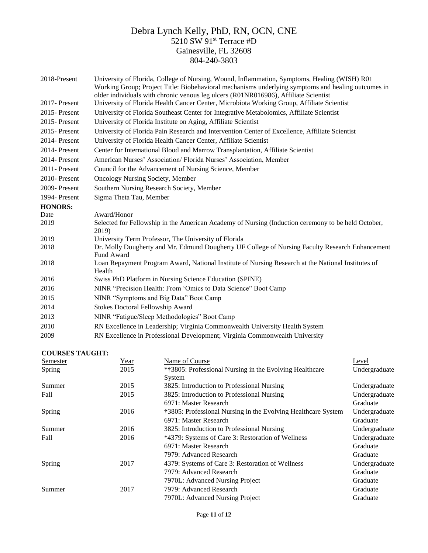| 2018-Present    | University of Florida, College of Nursing, Wound, Inflammation, Symptoms, Healing (WISH) R01<br>Working Group; Project Title: Biobehavioral mechanisms underlying symptoms and healing outcomes in<br>older individuals with chronic venous leg ulcers (R01NR016986), Affiliate Scientist |
|-----------------|-------------------------------------------------------------------------------------------------------------------------------------------------------------------------------------------------------------------------------------------------------------------------------------------|
| 2017-Present    | University of Florida Health Cancer Center, Microbiota Working Group, Affiliate Scientist                                                                                                                                                                                                 |
| 2015-Present    | University of Florida Southeast Center for Integrative Metabolomics, Affiliate Scientist                                                                                                                                                                                                  |
| $2015$ -Present | University of Florida Institute on Aging, Affiliate Scientist                                                                                                                                                                                                                             |
| $2015$ -Present | University of Florida Pain Research and Intervention Center of Excellence, Affiliate Scientist                                                                                                                                                                                            |
| 2014-Present    | University of Florida Health Cancer Center, Affiliate Scientist                                                                                                                                                                                                                           |
| 2014- Present   | Center for International Blood and Marrow Transplantation, Affiliate Scientist                                                                                                                                                                                                            |
| 2014-Present    | American Nurses' Association/ Florida Nurses' Association, Member                                                                                                                                                                                                                         |
| 2011-Present    | Council for the Advancement of Nursing Science, Member                                                                                                                                                                                                                                    |
| 2010-Present    | <b>Oncology Nursing Society, Member</b>                                                                                                                                                                                                                                                   |
| 2009-Present    | Southern Nursing Research Society, Member                                                                                                                                                                                                                                                 |
| 1994- Present   | Sigma Theta Tau, Member                                                                                                                                                                                                                                                                   |
| <b>HONORS:</b>  |                                                                                                                                                                                                                                                                                           |
| Date            | Award/Honor                                                                                                                                                                                                                                                                               |
| 2019            | Selected for Fellowship in the American Academy of Nursing (Induction ceremony to be held October,<br>2019)                                                                                                                                                                               |
| 2019            | University Term Professor, The University of Florida                                                                                                                                                                                                                                      |
| 2018            | Dr. Molly Dougherty and Mr. Edmund Dougherty UF College of Nursing Faculty Research Enhancement<br>Fund Award                                                                                                                                                                             |
| 2018            | Loan Repayment Program Award, National Institute of Nursing Research at the National Institutes of<br>Health                                                                                                                                                                              |
| 2016            | Swiss PhD Platform in Nursing Science Education (SPINE)                                                                                                                                                                                                                                   |
| 2016            | NINR "Precision Health: From 'Omics to Data Science" Boot Camp                                                                                                                                                                                                                            |
| 2015            | NINR "Symptoms and Big Data" Boot Camp                                                                                                                                                                                                                                                    |
| 2014            | <b>Stokes Doctoral Fellowship Award</b>                                                                                                                                                                                                                                                   |
| 2013            | NINR "Fatigue/Sleep Methodologies" Boot Camp                                                                                                                                                                                                                                              |
| 2010            | RN Excellence in Leadership; Virginia Commonwealth University Health System                                                                                                                                                                                                               |
| 2009            | RN Excellence in Professional Development; Virginia Commonwealth University                                                                                                                                                                                                               |

### **COURSES TAUGHT:**

| <b>Semester</b> | Year | Name of Course                                                | Level         |
|-----------------|------|---------------------------------------------------------------|---------------|
| Spring          | 2015 | *†3805: Professional Nursing in the Evolving Healthcare       | Undergraduate |
|                 |      | System                                                        |               |
| Summer          | 2015 | 3825: Introduction to Professional Nursing                    | Undergraduate |
| Fall            | 2015 | 3825: Introduction to Professional Nursing                    | Undergraduate |
|                 |      | 6971: Master Research                                         | Graduate      |
| Spring          | 2016 | †3805: Professional Nursing in the Evolving Healthcare System | Undergraduate |
|                 |      | 6971: Master Research                                         | Graduate      |
| Summer          | 2016 | 3825: Introduction to Professional Nursing                    | Undergraduate |
| Fall            | 2016 | *4379: Systems of Care 3: Restoration of Wellness             | Undergraduate |
|                 |      | 6971: Master Research                                         | Graduate      |
|                 |      | 7979: Advanced Research                                       | Graduate      |
| Spring          | 2017 | 4379: Systems of Care 3: Restoration of Wellness              | Undergraduate |
|                 |      | 7979: Advanced Research                                       | Graduate      |
|                 |      | 7970L: Advanced Nursing Project                               | Graduate      |
| Summer          | 2017 | 7979: Advanced Research                                       | Graduate      |
|                 |      | 7970L: Advanced Nursing Project                               | Graduate      |